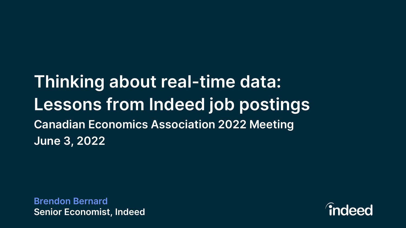## **Thinking about real-time data: Lessons from Indeed job postings Canadian Economics Association 2022 Meeting June 3, 2022**

**Brendon Bernard Senior Economist, Indeed**

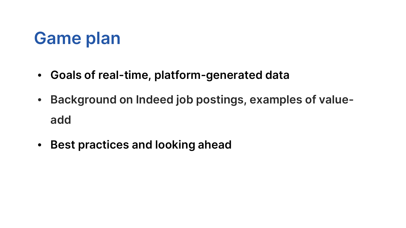## **Game plan**

- **Goals of real-time, platform-generated data**
- **Background on Indeed job postings, examples of valueadd**
- **Best practices and looking ahead**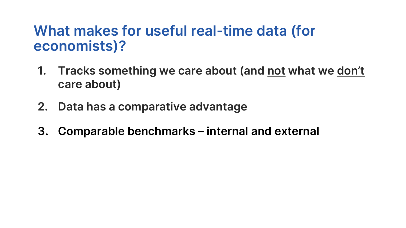#### **What makes for useful real-time data (for economists)?**

- **1. Tracks something we care about (and not what we don't care about)**
- **2. Data has a comparative advantage**
- **3. Comparable benchmarks – internal and external**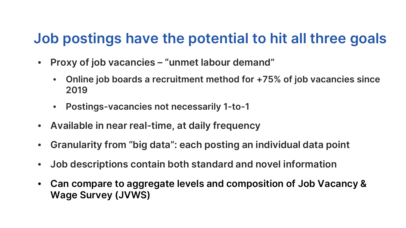#### **Job postings have the potential to hit all three goals**

- **Proxy of job vacancies – "unmet labour demand"**
	- **Online job boards a recruitment method for +75% of job vacancies since 2019**
	- **Postings-vacancies not necessarily 1-to-1**
- **Available in near real-time, at daily frequency**
- **Granularity from "big data": each posting an individual data point**
- **Job descriptions contain both standard and novel information**
- **Can compare to aggregate levels and composition of Job Vacancy & Wage Survey (JVWS)**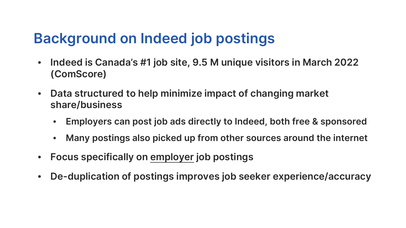### **Background on Indeed job postings**

- **Indeed is Canada's #1 job site, 9.5 M unique visitors in March 2022 (ComScore)**
- **Data structured to help minimize impact of changing market share/business**
	- **Employers can post job ads directly to Indeed, both free & sponsored**
	- **Many postings also picked up from other sources around the internet**
- **Focus specifically on employer job postings**
- **De-duplication of postings improves job seeker experience/accuracy**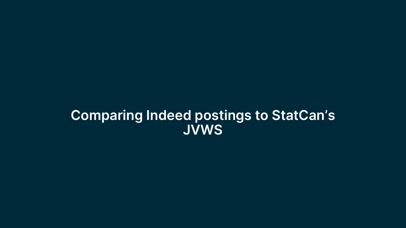#### **Comparing Indeed postings to StatCan's JVWS**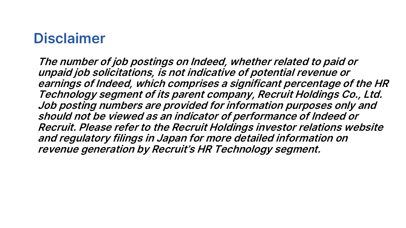#### **Disclaimer**

**The number of job postings on Indeed, whether related to paid or unpaid job solicitations, is not indicative of potential revenue or earnings of Indeed, which comprises a significant percentage of the HR Technology segment of its parent company, Recruit Holdings Co., Ltd. Job posting numbers are provided for information purposes only and should not be viewed as an indicator of performance of Indeed or Recruit. Please refer to the Recruit Holdings investor relations website and regulatory filings in Japan for more detailed information on revenue generation by Recruit's HR Technology segment.**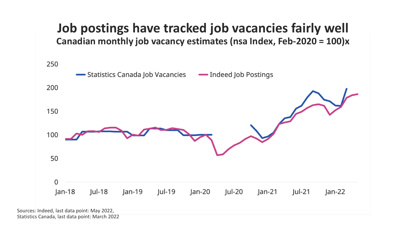

Statistics Canada, last data point: March 2022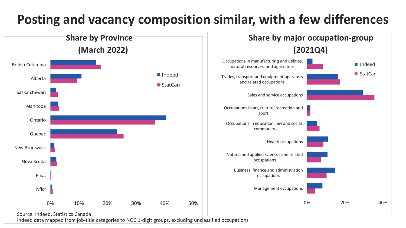#### **Posting and vacancy composition similar, with a few differences**



Indeed data mapped from job-title categories to NOC 1-digit groups, excluding unclassified occupations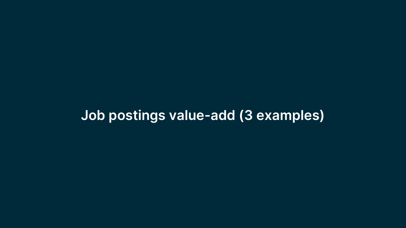#### **Job postings value-add (3 examples)**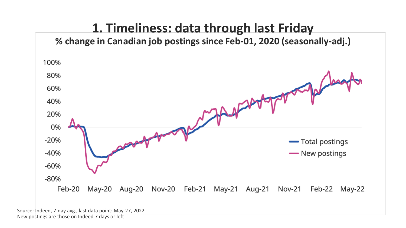

Source: Indeed, 7-day avg., last data point: May-27, 2022 New postings are those on Indeed 7 days or left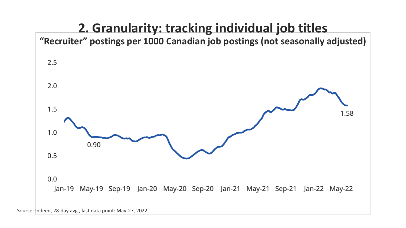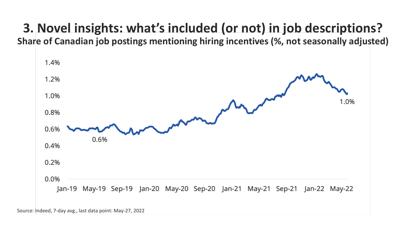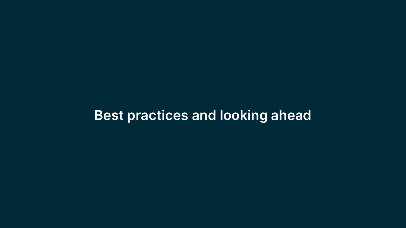#### **Best practices and looking ahead**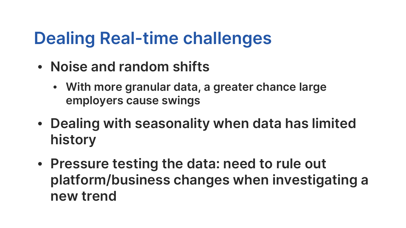## **Dealing Real-time challenges**

- **Noise and random shifts** 
	- **With more granular data, a greater chance large employers cause swings**
- **Dealing with seasonality when data has limited history**
- **Pressure testing the data: need to rule out platform/business changes when investigating a new trend**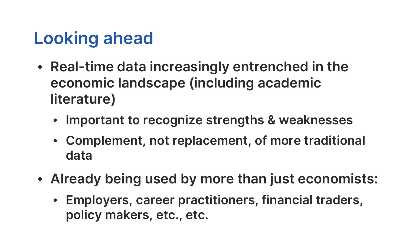## **Looking ahead**

- **Real-time data increasingly entrenched in the economic landscape (including academic literature)**
	- **Important to recognize strengths & weaknesses**
	- **Complement, not replacement, of more traditional data**
- **Already being used by more than just economists:**
	- **Employers, career practitioners, financial traders, policy makers, etc., etc.**